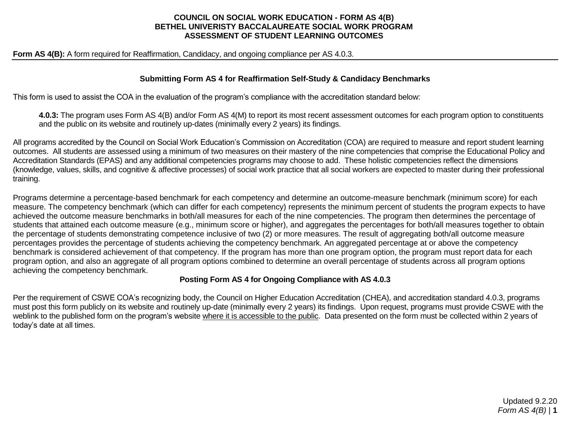### **COUNCIL ON SOCIAL WORK EDUCATION - FORM AS 4(B) BETHEL UNIVERISTY BACCALAUREATE SOCIAL WORK PROGRAM ASSESSMENT OF STUDENT LEARNING OUTCOMES**

**Form AS 4(B):** A form required for Reaffirmation, Candidacy, and ongoing compliance per AS 4.0.3.

#### **Submitting Form AS 4 for Reaffirmation Self-Study & Candidacy Benchmarks**

This form is used to assist the COA in the evaluation of the program's compliance with the accreditation standard below:

**4.0.3:** The program uses Form AS 4(B) and/or Form AS 4(M) to report its most recent assessment outcomes for each program option to constituents and the public on its website and routinely up-dates (minimally every 2 years) its findings.

All programs accredited by the Council on Social Work Education's Commission on Accreditation (COA) are required to measure and report student learning outcomes. All students are assessed using a minimum of two measures on their mastery of the nine competencies that comprise the Educational Policy and Accreditation Standards (EPAS) and any additional competencies programs may choose to add. These holistic competencies reflect the dimensions (knowledge, values, skills, and cognitive & affective processes) of social work practice that all social workers are expected to master during their professional training.

Programs determine a percentage-based benchmark for each competency and determine an outcome-measure benchmark (minimum score) for each measure. The competency benchmark (which can differ for each competency) represents the minimum percent of students the program expects to have achieved the outcome measure benchmarks in both/all measures for each of the nine competencies. The program then determines the percentage of students that attained each outcome measure (e.g., minimum score or higher), and aggregates the percentages for both/all measures together to obtain the percentage of students demonstrating competence inclusive of two (2) or more measures. The result of aggregating both/all outcome measure percentages provides the percentage of students achieving the competency benchmark. An aggregated percentage at or above the competency benchmark is considered achievement of that competency. If the program has more than one program option, the program must report data for each program option, and also an aggregate of all program options combined to determine an overall percentage of students across all program options achieving the competency benchmark.

## **Posting Form AS 4 for Ongoing Compliance with AS 4.0.3**

Per the requirement of CSWE COA's recognizing body, the Council on Higher Education Accreditation (CHEA), and accreditation standard 4.0.3, programs must post this form publicly on its website and routinely up-date (minimally every 2 years) its findings. Upon request, programs must provide CSWE with the weblink to the published form on the program's website where it is accessible to the public. Data presented on the form must be collected within 2 years of today's date at all times.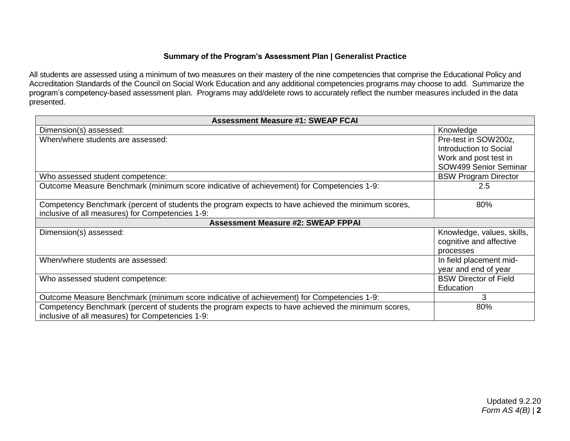## **Summary of the Program's Assessment Plan | Generalist Practice**

All students are assessed using a minimum of two measures on their mastery of the nine competencies that comprise the Educational Policy and Accreditation Standards of the Council on Social Work Education and any additional competencies programs may choose to add. Summarize the program's competency-based assessment plan. Programs may add/delete rows to accurately reflect the number measures included in the data presented.

| <b>Assessment Measure #1: SWEAP FCAI</b>                                                           |                              |  |
|----------------------------------------------------------------------------------------------------|------------------------------|--|
| Dimension(s) assessed:                                                                             | Knowledge                    |  |
| When/where students are assessed:                                                                  | Pre-test in SOW200z,         |  |
|                                                                                                    | Introduction to Social       |  |
|                                                                                                    | Work and post test in        |  |
|                                                                                                    | SOW499 Senior Seminar        |  |
| Who assessed student competence:                                                                   | <b>BSW Program Director</b>  |  |
| Outcome Measure Benchmark (minimum score indicative of achievement) for Competencies 1-9:          | 2.5                          |  |
|                                                                                                    |                              |  |
| Competency Benchmark (percent of students the program expects to have achieved the minimum scores, | 80%                          |  |
| inclusive of all measures) for Competencies 1-9:                                                   |                              |  |
| <b>Assessment Measure #2: SWEAP FPPAI</b>                                                          |                              |  |
| Dimension(s) assessed:                                                                             | Knowledge, values, skills,   |  |
|                                                                                                    | cognitive and affective      |  |
|                                                                                                    | processes                    |  |
| When/where students are assessed:                                                                  | In field placement mid-      |  |
|                                                                                                    | year and end of year         |  |
| Who assessed student competence:                                                                   | <b>BSW Director of Field</b> |  |
|                                                                                                    | Education                    |  |
| Outcome Measure Benchmark (minimum score indicative of achievement) for Competencies 1-9:          | 3                            |  |
| Competency Benchmark (percent of students the program expects to have achieved the minimum scores, | 80%                          |  |
| inclusive of all measures) for Competencies 1-9:                                                   |                              |  |